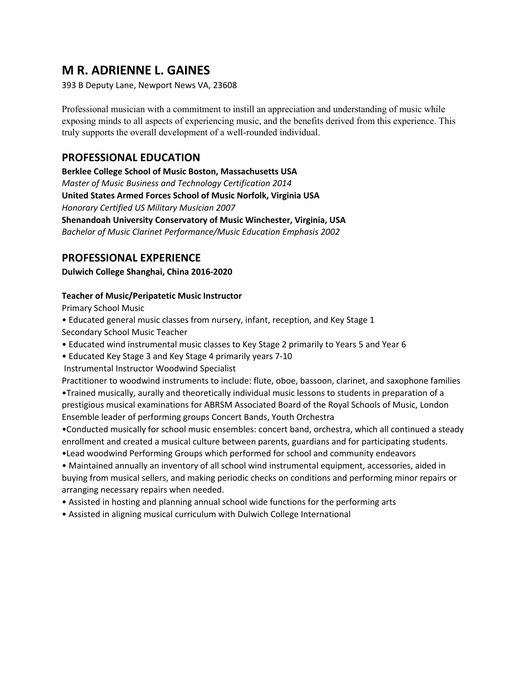# **M R. ADRIENNE L. GAINES**

393 B Deputy Lane, Newport News VA, 23608

Professional musician with a commitment to instill an appreciation and understanding of music while exposing minds to all aspects of experiencing music, and the benefits derived from this experience. This truly supports the overall development of a well-rounded individual.

### **PROFESSIONAL EDUCATION**

**Berklee College School of Music Boston, Massachusetts USA**  *Master of Music Business and Technology Certification 2014*  **United States Armed Forces School of Music Norfolk, Virginia USA**  *Honorary Certified US Military Musician 2007*  **Shenandoah University Conservatory of Music Winchester, Virginia, USA**  *Bachelor of Music Clarinet Performance/Music Education Emphasis 2002* 

### **PROFESSIONAL EXPERIENCE**

**Dulwich College Shanghai, China 2016-2020**

### **Teacher of Music/Peripatetic Music Instructor**

Primary School Music

- Educated general music classes from nursery, infant, reception, and Key Stage 1 Secondary School Music Teacher
- Educated wind instrumental music classes to Key Stage 2 primarily to Years 5 and Year 6

• Educated Key Stage 3 and Key Stage 4 primarily years 7-10

Instrumental Instructor Woodwind Specialist

Practitioner to woodwind instruments to include: flute, oboe, bassoon, clarinet, and saxophone families •Trained musically, aurally and theoretically individual music lessons to students in preparation of a prestigious musical examinations for ABRSM Associated Board of the Royal Schools of Music, London Ensemble leader of performing groups Concert Bands, Youth Orchestra

•Conducted musically for school music ensembles: concert band, orchestra, which all continued a steady enrollment and created a musical culture between parents, guardians and for participating students.

•Lead woodwind Performing Groups which performed for school and community endeavors • Maintained annually an inventory of all school wind instrumental equipment, accessories, aided in buying from musical sellers, and making periodic checks on conditions and performing minor repairs or arranging necessary repairs when needed.

- Assisted in hosting and planning annual school wide functions for the performing arts
- Assisted in aligning musical curriculum with Dulwich College International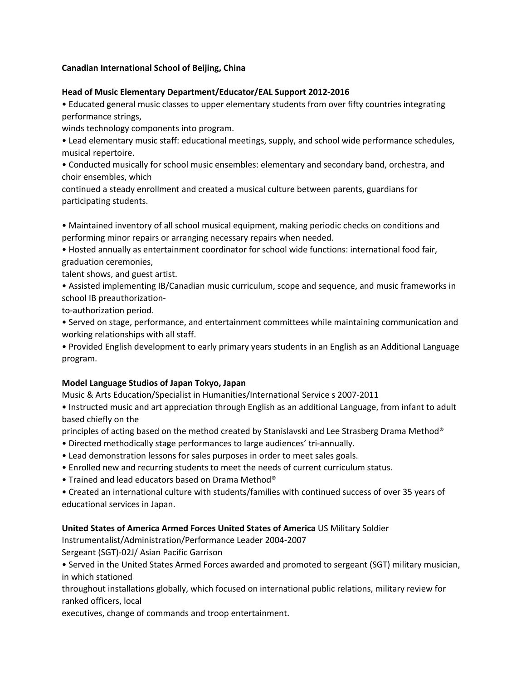#### **Canadian International School of Beijing, China**

#### **Head of Music Elementary Department/Educator/EAL Support 2012-2016**

• Educated general music classes to upper elementary students from over fifty countries integrating performance strings,

winds technology components into program.

• Lead elementary music staff: educational meetings, supply, and school wide performance schedules, musical repertoire.

• Conducted musically for school music ensembles: elementary and secondary band, orchestra, and choir ensembles, which

continued a steady enrollment and created a musical culture between parents, guardians for participating students.

• Maintained inventory of all school musical equipment, making periodic checks on conditions and performing minor repairs or arranging necessary repairs when needed.

• Hosted annually as entertainment coordinator for school wide functions: international food fair, graduation ceremonies,

talent shows, and guest artist.

• Assisted implementing IB/Canadian music curriculum, scope and sequence, and music frameworks in school IB preauthorization-

to-authorization period.

• Served on stage, performance, and entertainment committees while maintaining communication and working relationships with all staff.

• Provided English development to early primary years students in an English as an Additional Language program.

#### **Model Language Studios of Japan Tokyo, Japan**

Music & Arts Education/Specialist in Humanities/International Service s 2007-2011

• Instructed music and art appreciation through English as an additional Language, from infant to adult based chiefly on the

principles of acting based on the method created by Stanislavski and Lee Strasberg Drama Method®

- Directed methodically stage performances to large audiences' tri-annually.
- Lead demonstration lessons for sales purposes in order to meet sales goals.
- Enrolled new and recurring students to meet the needs of current curriculum status.
- Trained and lead educators based on Drama Method®

• Created an international culture with students/families with continued success of over 35 years of educational services in Japan.

#### **United States of America Armed Forces United States of America** US Military Soldier

Instrumentalist/Administration/Performance Leader 2004-2007

Sergeant (SGT)-02J/ Asian Pacific Garrison

• Served in the United States Armed Forces awarded and promoted to sergeant (SGT) military musician, in which stationed

throughout installations globally, which focused on international public relations, military review for ranked officers, local

executives, change of commands and troop entertainment.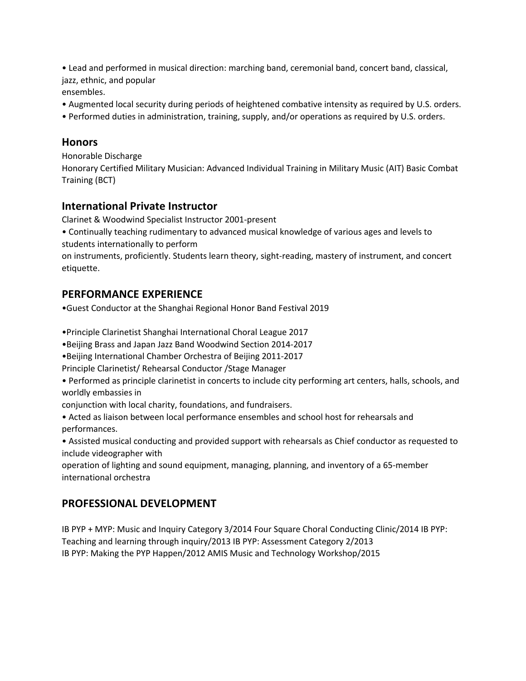• Lead and performed in musical direction: marching band, ceremonial band, concert band, classical, jazz, ethnic, and popular

ensembles.

- Augmented local security during periods of heightened combative intensity as required by U.S. orders.
- Performed duties in administration, training, supply, and/or operations as required by U.S. orders.

### **Honors**

Honorable Discharge

Honorary Certified Military Musician: Advanced Individual Training in Military Music (AIT) Basic Combat Training (BCT)

## **International Private Instructor**

Clarinet & Woodwind Specialist Instructor 2001-present

• Continually teaching rudimentary to advanced musical knowledge of various ages and levels to students internationally to perform

on instruments, proficiently. Students learn theory, sight-reading, mastery of instrument, and concert etiquette.

## **PERFORMANCE EXPERIENCE**

•Guest Conductor at the Shanghai Regional Honor Band Festival 2019

•Principle Clarinetist Shanghai International Choral League 2017

•Beijing Brass and Japan Jazz Band Woodwind Section 2014-2017

•Beijing International Chamber Orchestra of Beijing 2011-2017

Principle Clarinetist/ Rehearsal Conductor /Stage Manager

• Performed as principle clarinetist in concerts to include city performing art centers, halls, schools, and worldly embassies in

conjunction with local charity, foundations, and fundraisers.

• Acted as liaison between local performance ensembles and school host for rehearsals and performances.

• Assisted musical conducting and provided support with rehearsals as Chief conductor as requested to include videographer with

operation of lighting and sound equipment, managing, planning, and inventory of a 65-member international orchestra

## **PROFESSIONAL DEVELOPMENT**

IB PYP + MYP: Music and Inquiry Category 3/2014 Four Square Choral Conducting Clinic/2014 IB PYP: Teaching and learning through inquiry/2013 IB PYP: Assessment Category 2/2013 IB PYP: Making the PYP Happen/2012 AMIS Music and Technology Workshop/2015